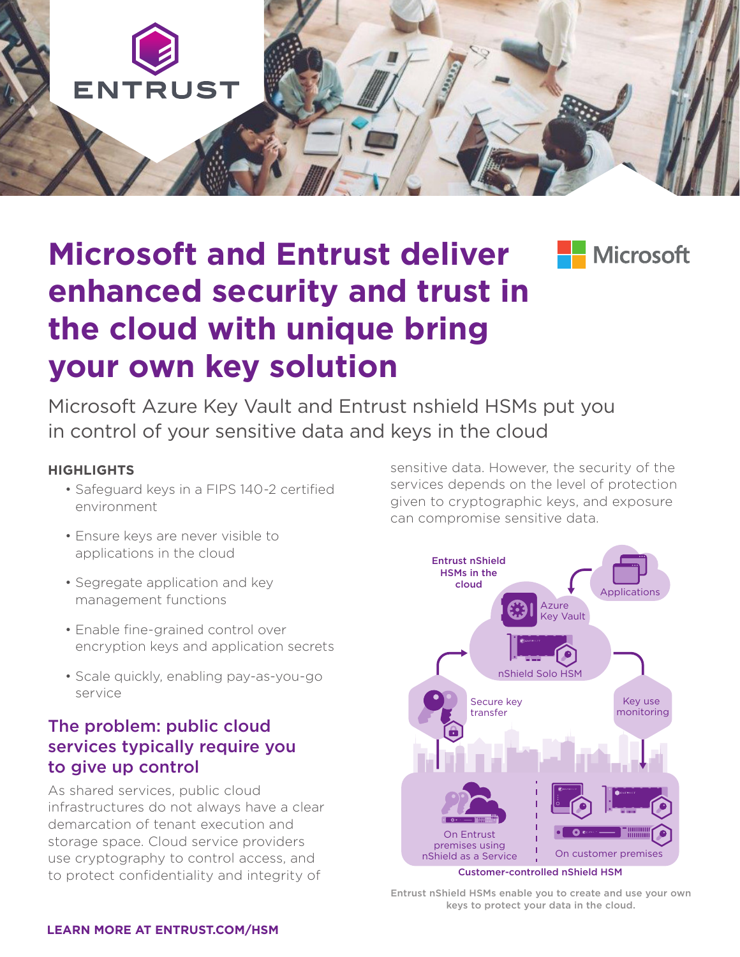

# **Microsoft and Entrust deliver enhanced security and trust in the cloud with unique bring your own key solution**

**Nicrosoft** 

Microsoft Azure Key Vault and Entrust nshield HSMs put you in control of your sensitive data and keys in the cloud

#### **HIGHLIGHTS**

- Safeguard keys in a FIPS 140-2 certified environment
- Ensure keys are never visible to applications in the cloud
- Segregate application and key management functions
- Enable fine-grained control over encryption keys and application secrets
- Scale quickly, enabling pay-as-you-go service

### The problem: public cloud services typically require you to give up control

As shared services, public cloud infrastructures do not always have a clear demarcation of tenant execution and storage space. Cloud service providers use cryptography to control access, and to protect confidentiality and integrity of

sensitive data. However, the security of the services depends on the level of protection given to cryptographic keys, and exposure can compromise sensitive data.



Entrust nShield HSMs enable you to create and use your own keys to protect your data in the cloud.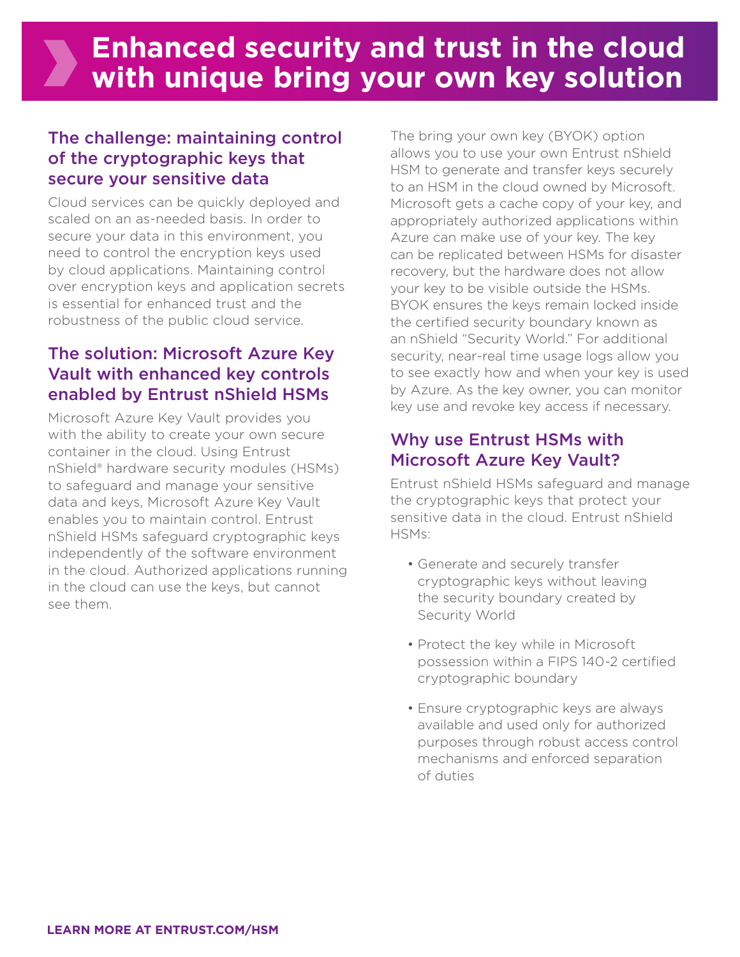### The challenge: maintaining control of the cryptographic keys that secure your sensitive data

Cloud services can be quickly deployed and scaled on an as-needed basis. In order to secure your data in this environment, you need to control the encryption keys used by cloud applications. Maintaining control over encryption keys and application secrets is essential for enhanced trust and the robustness of the public cloud service.

### The solution: Microsoft Azure Key Vault with enhanced key controls enabled by Entrust nShield HSMs

Microsoft Azure Key Vault provides you with the ability to create your own secure container in the cloud. Using Entrust nShield® hardware security modules (HSMs) to safeguard and manage your sensitive data and keys, Microsoft Azure Key Vault enables you to maintain control. Entrust nShield HSMs safeguard cryptographic keys independently of the software environment in the cloud. Authorized applications running in the cloud can use the keys, but cannot see them.

The bring your own key (BYOK) option allows you to use your own Entrust nShield HSM to generate and transfer keys securely to an HSM in the cloud owned by Microsoft. Microsoft gets a cache copy of your key, and appropriately authorized applications within Azure can make use of your key. The key can be replicated between HSMs for disaster recovery, but the hardware does not allow your key to be visible outside the HSMs. BYOK ensures the keys remain locked inside the certified security boundary known as an nShield "Security World." For additional security, near-real time usage logs allow you to see exactly how and when your key is used by Azure. As the key owner, you can monitor key use and revoke key access if necessary.

### Why use Entrust HSMs with Microsoft Azure Key Vault?

Entrust nShield HSMs safeguard and manage the cryptographic keys that protect your sensitive data in the cloud. Entrust nShield HSMs:

- Generate and securely transfer cryptographic keys without leaving the security boundary created by Security World
- Protect the key while in Microsoft possession within a FIPS 140-2 certified cryptographic boundary
- Ensure cryptographic keys are always available and used only for authorized purposes through robust access control mechanisms and enforced separation of duties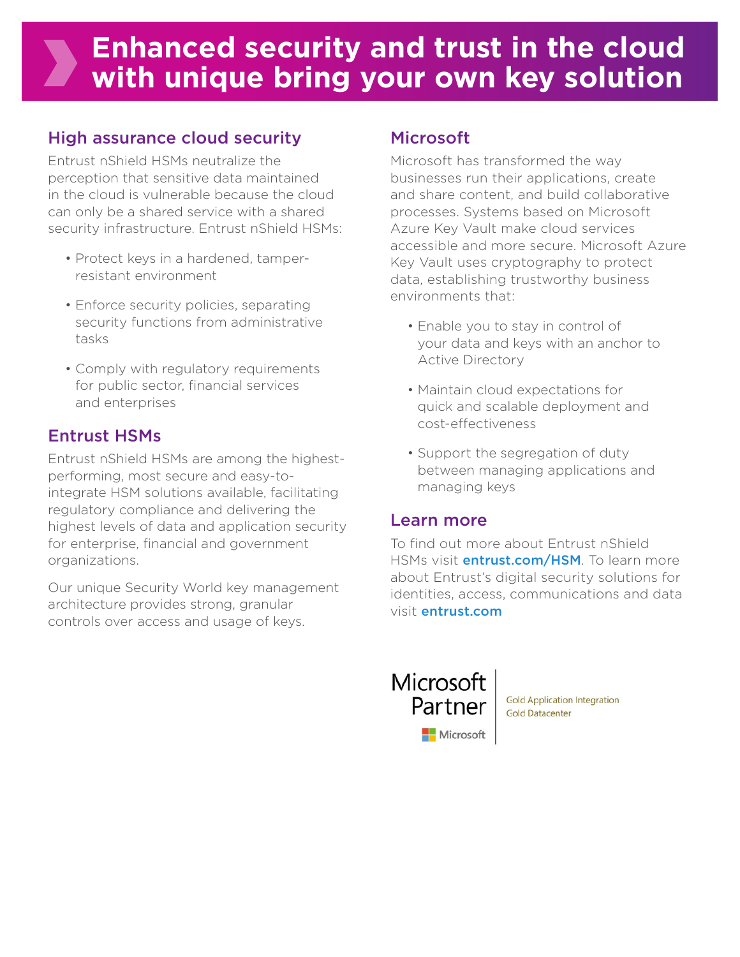## **Enhanced security and trust in the cloud with unique bring your own key solution**

## High assurance cloud security

Entrust nShield HSMs neutralize the perception that sensitive data maintained in the cloud is vulnerable because the cloud can only be a shared service with a shared security infrastructure. Entrust nShield HSMs:

- Protect keys in a hardened, tamperresistant environment
- Enforce security policies, separating security functions from administrative tasks
- Comply with regulatory requirements for public sector, financial services and enterprises

### Entrust HSMs

Entrust nShield HSMs are among the highestperforming, most secure and easy-tointegrate HSM solutions available, facilitating regulatory compliance and delivering the highest levels of data and application security for enterprise, financial and government organizations.

Our unique Security World key management architecture provides strong, granular controls over access and usage of keys.

### Microsoft

Microsoft has transformed the way businesses run their applications, create and share content, and build collaborative processes. Systems based on Microsoft Azure Key Vault make cloud services accessible and more secure. Microsoft Azure Key Vault uses cryptography to protect data, establishing trustworthy business environments that:

- Enable you to stay in control of your data and keys with an anchor to Active Directory
- Maintain cloud expectations for quick and scalable deployment and cost-effectiveness
- Support the segregation of duty between managing applications and managing keys

### Learn more

To find out more about Entrust nShield HSMs visit **entrust.com/HSM**. To learn more about Entrust's digital security solutions for identities, access, communications and data visit entrust.com



**Gold Application Integration Gold Datacenter**